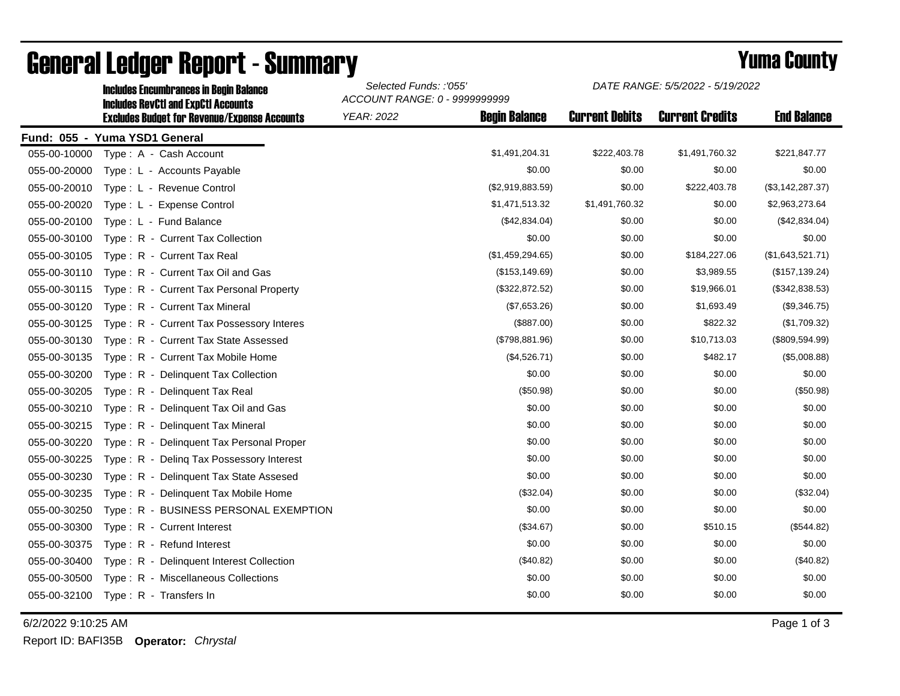|              | <b>Includes RevCtI and ExpCtI Accounts</b>          | ACCOUNT RANGE: 0 - 9999999999 |                      |                       |                        |                    |  |
|--------------|-----------------------------------------------------|-------------------------------|----------------------|-----------------------|------------------------|--------------------|--|
|              | <b>Excludes Budget for Revenue/Expense Accounts</b> | <b>YEAR: 2022</b>             | <b>Begin Balance</b> | <b>Current Debits</b> | <b>Current Credits</b> | <b>End Balance</b> |  |
|              | Fund: 055 - Yuma YSD1 General                       |                               |                      |                       |                        |                    |  |
| 055-00-10000 | Type: A - Cash Account                              |                               | \$1,491,204.31       | \$222,403.78          | \$1,491,760.32         | \$221,847.77       |  |
| 055-00-20000 | Type : L - Accounts Payable                         |                               | \$0.00               | \$0.00                | \$0.00                 | \$0.00             |  |
| 055-00-20010 | Type: L - Revenue Control                           |                               | (\$2,919,883.59)     | \$0.00                | \$222,403.78           | (\$3,142,287.37)   |  |
| 055-00-20020 | Type: L - Expense Control                           |                               | \$1,471,513.32       | \$1,491,760.32        | \$0.00                 | \$2,963,273.64     |  |
| 055-00-20100 | Type: L - Fund Balance                              |                               | (\$42,834.04)        | \$0.00                | \$0.00                 | (\$42,834.04)      |  |
| 055-00-30100 | Type: R - Current Tax Collection                    |                               | \$0.00               | \$0.00                | \$0.00                 | \$0.00             |  |
| 055-00-30105 | Type: R - Current Tax Real                          |                               | (\$1,459,294.65)     | \$0.00                | \$184,227.06           | (\$1,643,521.71)   |  |
| 055-00-30110 | Type: R - Current Tax Oil and Gas                   |                               | (\$153, 149.69)      | \$0.00                | \$3,989.55             | (\$157, 139.24)    |  |
| 055-00-30115 | Type: R - Current Tax Personal Property             |                               | (\$322,872.52)       | \$0.00                | \$19,966.01            | (\$342,838.53)     |  |
| 055-00-30120 | Type: R - Current Tax Mineral                       |                               | (\$7,653.26)         | \$0.00                | \$1,693.49             | (\$9,346.75)       |  |
| 055-00-30125 | Type: R - Current Tax Possessory Interes            |                               | (\$887.00)           | \$0.00                | \$822.32               | (\$1,709.32)       |  |
| 055-00-30130 | Type: R - Current Tax State Assessed                |                               | (\$798,881.96)       | \$0.00                | \$10,713.03            | (\$809,594.99)     |  |
| 055-00-30135 | Type: R - Current Tax Mobile Home                   |                               | (\$4,526.71)         | \$0.00                | \$482.17               | (\$5,008.88)       |  |
| 055-00-30200 | Type: R - Delinquent Tax Collection                 |                               | \$0.00               | \$0.00                | \$0.00                 | \$0.00             |  |
| 055-00-30205 | Type: R - Delinquent Tax Real                       |                               | (\$50.98)            | \$0.00                | \$0.00                 | (\$50.98)          |  |
| 055-00-30210 | Type: R - Delinguent Tax Oil and Gas                |                               | \$0.00               | \$0.00                | \$0.00                 | \$0.00             |  |
| 055-00-30215 | Type: R - Delinquent Tax Mineral                    |                               | \$0.00               | \$0.00                | \$0.00                 | \$0.00             |  |
| 055-00-30220 | Type: R - Delinquent Tax Personal Proper            |                               | \$0.00               | \$0.00                | \$0.00                 | \$0.00             |  |
| 055-00-30225 | Type: R - Deling Tax Possessory Interest            |                               | \$0.00               | \$0.00                | \$0.00                 | \$0.00             |  |
| 055-00-30230 | Type: R - Delinquent Tax State Assesed              |                               | \$0.00               | \$0.00                | \$0.00                 | \$0.00             |  |
| 055-00-30235 | Type: R - Delinquent Tax Mobile Home                |                               | (\$32.04)            | \$0.00                | \$0.00                 | (\$32.04)          |  |
| 055-00-30250 | Type: R - BUSINESS PERSONAL EXEMPTION               |                               | \$0.00               | \$0.00                | \$0.00                 | \$0.00             |  |
| 055-00-30300 | Type: R - Current Interest                          |                               | (\$34.67)            | \$0.00                | \$510.15               | (\$544.82)         |  |
| 055-00-30375 | Type: R - Refund Interest                           |                               | \$0.00               | \$0.00                | \$0.00                 | \$0.00             |  |
| 055-00-30400 | Type: R - Delinquent Interest Collection            |                               | (\$40.82)            | \$0.00                | \$0.00                 | (\$40.82)          |  |
| 055-00-30500 | Type: R - Miscellaneous Collections                 |                               | \$0.00               | \$0.00                | \$0.00                 | \$0.00             |  |
| 055-00-32100 | Type: R - Transfers In                              |                               | \$0.00               | \$0.00                | \$0.00                 | \$0.00             |  |
|              |                                                     |                               |                      |                       |                        |                    |  |

## General Ledger Report - Summary **Example 2018** Yuma County

Includes Encumbrances in Begin Balance *Selected Funds: :'055'*

6/2/2022 9:10:25 AM Page 1 of 3

*DATE RANGE: 5/5/2022 - 5/19/2022*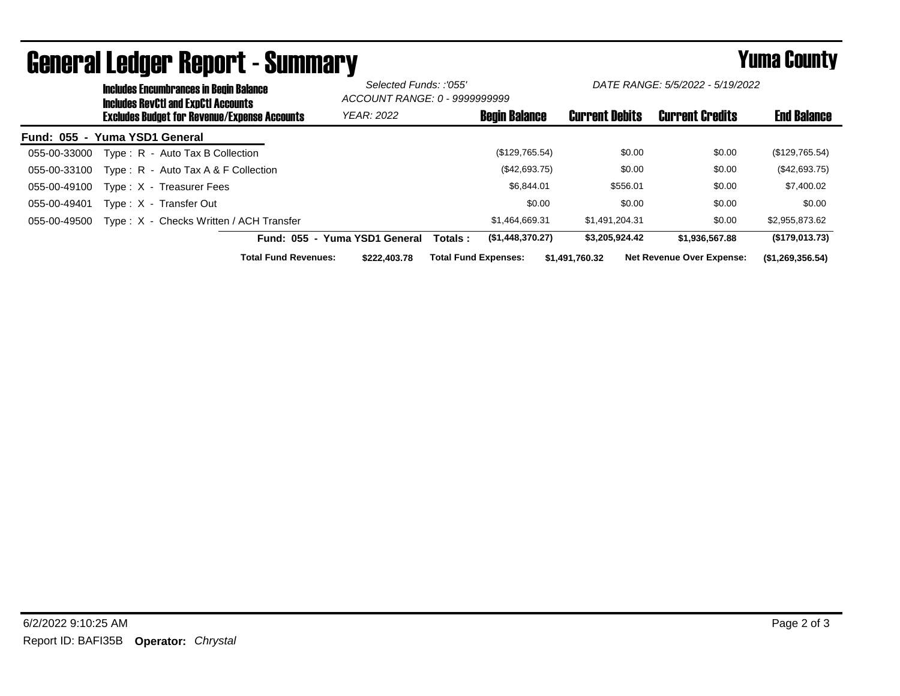|                               |  | <b>Includes Encumbrances in Begin Balance</b><br><b>Includes RevCtI and ExpCtI Accounts</b><br><b>Excludes Budget for Revenue/Expense Accounts</b> |                             | Selected Funds: :'055'<br>ACCOUNT RANGE: 0 - 9999999999 |                             | DATE RANGE: 5/5/2022 - 5/19/2022 |                       |                                  |                    |
|-------------------------------|--|----------------------------------------------------------------------------------------------------------------------------------------------------|-----------------------------|---------------------------------------------------------|-----------------------------|----------------------------------|-----------------------|----------------------------------|--------------------|
|                               |  |                                                                                                                                                    |                             | <b>YEAR: 2022</b>                                       |                             | <b>Begin Balance</b>             | <b>Current Debits</b> | <b>Current Credits</b>           | <b>End Balance</b> |
| Fund: 055 - Yuma YSD1 General |  |                                                                                                                                                    |                             |                                                         |                             |                                  |                       |                                  |                    |
| 055-00-33000                  |  | Type: R - Auto Tax B Collection                                                                                                                    |                             |                                                         |                             | (\$129,765.54)                   | \$0.00                | \$0.00                           | (\$129,765.54)     |
| 055-00-33100                  |  | Type : $R -$ Auto Tax A & F Collection                                                                                                             |                             |                                                         |                             | (\$42,693.75)                    | \$0.00                | \$0.00                           | $(\$42,693.75)$    |
| 055-00-49100                  |  | Type: X - Treasurer Fees                                                                                                                           |                             |                                                         |                             | \$6,844.01                       | \$556.01              | \$0.00                           | \$7,400.02         |
| 055-00-49401                  |  | Type: X - Transfer Out                                                                                                                             |                             |                                                         |                             | \$0.00                           | \$0.00                | \$0.00                           | \$0.00             |
| 055-00-49500                  |  | Type: X - Checks Written / ACH Transfer                                                                                                            |                             |                                                         |                             | \$1.464.669.31                   | \$1,491,204.31        | \$0.00                           | \$2,955,873.62     |
|                               |  |                                                                                                                                                    |                             | Fund: 055 - Yuma YSD1 General                           | Totals :                    | (\$1,448,370.27)                 | \$3,205,924.42        | \$1.936.567.88                   | (\$179,013.73)     |
|                               |  |                                                                                                                                                    | <b>Total Fund Revenues:</b> | \$222,403.78                                            | <b>Total Fund Expenses:</b> |                                  | \$1,491,760.32        | <b>Net Revenue Over Expense:</b> | (\$1,269,356.54)   |

## General Ledger Report - Summary **Example 2018** Yuma County